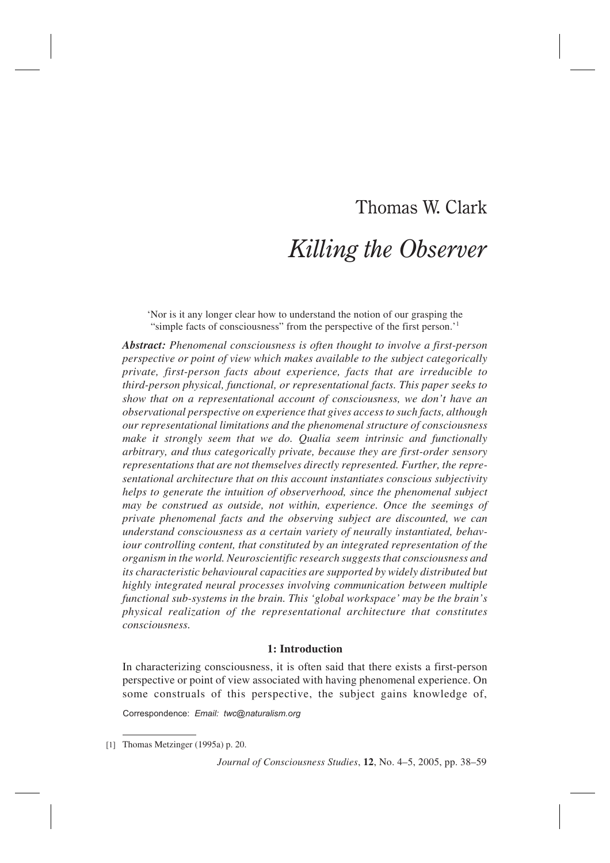# Thomas W. Clark *Killing the Observer*

'Nor is it any longer clear how to understand the notion of our grasping the "simple facts of consciousness" from the perspective of the first person.'1

*Abstract: Phenomenal consciousness is often thought to involve a first-person perspective or point of view which makes available to the subject categorically private, first-person facts about experience, facts that are irreducible to third-person physical, functional, or representational facts. This paper seeks to show that on a representational account of consciousness, we don't have an observational perspective on experience that gives access to such facts, although our representational limitations and the phenomenal structure of consciousness make it strongly seem that we do. Qualia seem intrinsic and functionally arbitrary, and thus categorically private, because they are first-order sensory representations that are not themselves directly represented. Further, the representational architecture that on this account instantiates conscious subjectivity helps to generate the intuition of observerhood, since the phenomenal subject may be construed as outside, not within, experience. Once the seemings of private phenomenal facts and the observing subject are discounted, we can understand consciousness as a certain variety of neurally instantiated, behaviour controlling content, that constituted by an integrated representation of the organism in the world. Neuroscientific research suggests that consciousness and its characteristic behavioural capacities are supported by widely distributed but highly integrated neural processes involving communication between multiple functional sub-systems in the brain. This 'global workspace' may be the brain's physical realization of the representational architecture that constitutes consciousness.*

# **1: Introduction**

In characterizing consciousness, it is often said that there exists a first-person perspective or point of view associated with having phenomenal experience. On some construals of this perspective, the subject gains knowledge of,

Correspondence: *Email: twc@naturalism.org*

<sup>[1]</sup> Thomas Metzinger (1995a) p. 20.

*Journal of Consciousness Studies*, **12**, No. 4–5, 2005, pp. 38–59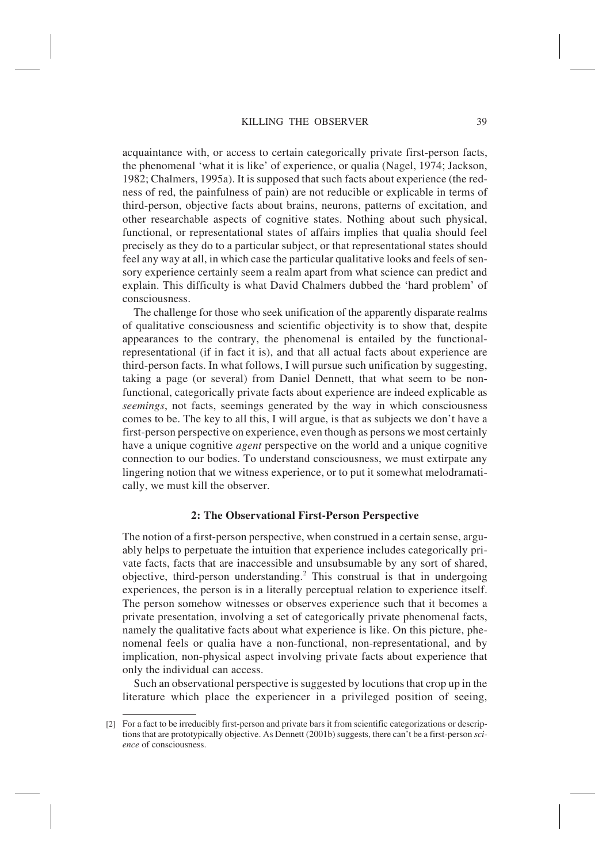acquaintance with, or access to certain categorically private first-person facts, the phenomenal 'what it is like' of experience, or qualia (Nagel, 1974; Jackson, 1982; Chalmers, 1995a). It is supposed that such facts about experience (the redness of red, the painfulness of pain) are not reducible or explicable in terms of third-person, objective facts about brains, neurons, patterns of excitation, and other researchable aspects of cognitive states. Nothing about such physical, functional, or representational states of affairs implies that qualia should feel precisely as they do to a particular subject, or that representational states should feel any way at all, in which case the particular qualitative looks and feels of sensory experience certainly seem a realm apart from what science can predict and explain. This difficulty is what David Chalmers dubbed the 'hard problem' of consciousness.

The challenge for those who seek unification of the apparently disparate realms of qualitative consciousness and scientific objectivity is to show that, despite appearances to the contrary, the phenomenal is entailed by the functionalrepresentational (if in fact it is), and that all actual facts about experience are third-person facts. In what follows, I will pursue such unification by suggesting, taking a page (or several) from Daniel Dennett, that what seem to be nonfunctional, categorically private facts about experience are indeed explicable as *seemings*, not facts, seemings generated by the way in which consciousness comes to be. The key to all this, I will argue, is that as subjects we don't have a first-person perspective on experience, even though as persons we most certainly have a unique cognitive *agent* perspective on the world and a unique cognitive connection to our bodies. To understand consciousness, we must extirpate any lingering notion that we witness experience, or to put it somewhat melodramatically, we must kill the observer.

#### **2: The Observational First-Person Perspective**

The notion of a first-person perspective, when construed in a certain sense, arguably helps to perpetuate the intuition that experience includes categorically private facts, facts that are inaccessible and unsubsumable by any sort of shared, objective, third-person understanding.2 This construal is that in undergoing experiences, the person is in a literally perceptual relation to experience itself. The person somehow witnesses or observes experience such that it becomes a private presentation, involving a set of categorically private phenomenal facts, namely the qualitative facts about what experience is like. On this picture, phenomenal feels or qualia have a non-functional, non-representational, and by implication, non-physical aspect involving private facts about experience that only the individual can access.

Such an observational perspective is suggested by locutions that crop up in the literature which place the experiencer in a privileged position of seeing,

<sup>[2]</sup> For a fact to be irreducibly first-person and private bars it from scientific categorizations or descriptions that are prototypically objective. As Dennett (2001b) suggests, there can't be a first-person *science* of consciousness.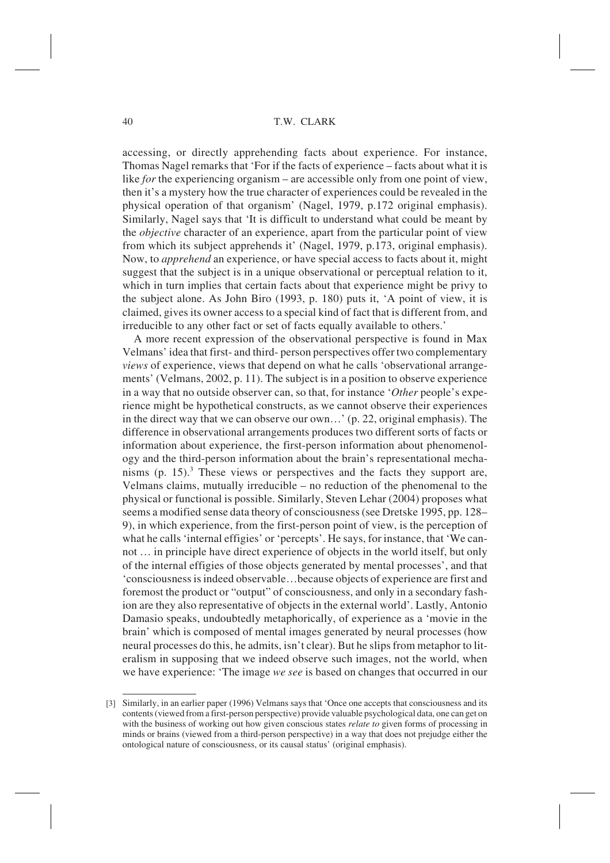accessing, or directly apprehending facts about experience. For instance, Thomas Nagel remarks that 'For if the facts of experience – facts about what it is like *for* the experiencing organism – are accessible only from one point of view, then it's a mystery how the true character of experiences could be revealed in the physical operation of that organism' (Nagel, 1979, p.172 original emphasis). Similarly, Nagel says that 'It is difficult to understand what could be meant by the *objective* character of an experience, apart from the particular point of view from which its subject apprehends it' (Nagel, 1979, p.173, original emphasis). Now, to *apprehend* an experience, or have special access to facts about it, might suggest that the subject is in a unique observational or perceptual relation to it, which in turn implies that certain facts about that experience might be privy to the subject alone. As John Biro (1993, p. 180) puts it, 'A point of view, it is claimed, gives its owner access to a special kind of fact that is different from, and irreducible to any other fact or set of facts equally available to others.'

A more recent expression of the observational perspective is found in Max Velmans' idea that first- and third- person perspectives offer two complementary *views* of experience, views that depend on what he calls 'observational arrangements' (Velmans, 2002, p. 11). The subject is in a position to observe experience in a way that no outside observer can, so that, for instance '*Other* people's experience might be hypothetical constructs, as we cannot observe their experiences in the direct way that we can observe our own…' (p. 22, original emphasis). The difference in observational arrangements produces two different sorts of facts or information about experience, the first-person information about phenomenology and the third-person information about the brain's representational mechanisms  $(p. 15)^3$ . These views or perspectives and the facts they support are, Velmans claims, mutually irreducible – no reduction of the phenomenal to the physical or functional is possible. Similarly, Steven Lehar (2004) proposes what seems a modified sense data theory of consciousness (see Dretske 1995, pp. 128– 9), in which experience, from the first-person point of view, is the perception of what he calls 'internal effigies' or 'percepts'. He says, for instance, that 'We cannot … in principle have direct experience of objects in the world itself, but only of the internal effigies of those objects generated by mental processes', and that 'consciousness is indeed observable…because objects of experience are first and foremost the product or "output" of consciousness, and only in a secondary fashion are they also representative of objects in the external world'. Lastly, Antonio Damasio speaks, undoubtedly metaphorically, of experience as a 'movie in the brain' which is composed of mental images generated by neural processes (how neural processes do this, he admits, isn't clear). But he slips from metaphor to literalism in supposing that we indeed observe such images, not the world, when we have experience: 'The image *we see* is based on changes that occurred in our

<sup>[3]</sup> Similarly, in an earlier paper (1996) Velmans says that 'Once one accepts that consciousness and its contents (viewed from a first-person perspective) provide valuable psychological data, one can get on with the business of working out how given conscious states *relate to* given forms of processing in minds or brains (viewed from a third-person perspective) in a way that does not prejudge either the ontological nature of consciousness, or its causal status' (original emphasis).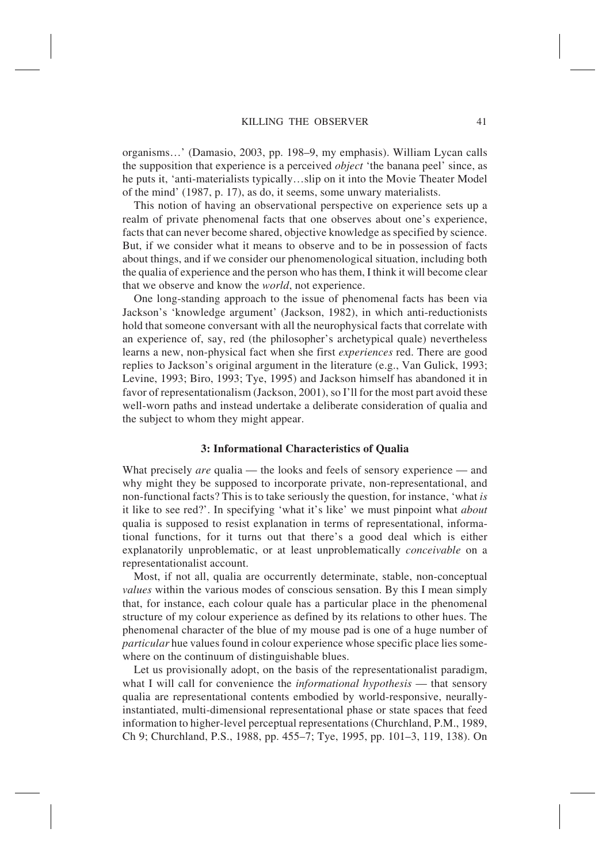organisms…' (Damasio, 2003, pp. 198–9, my emphasis). William Lycan calls the supposition that experience is a perceived *object* 'the banana peel' since, as he puts it, 'anti-materialists typically…slip on it into the Movie Theater Model of the mind' (1987, p. 17), as do, it seems, some unwary materialists.

This notion of having an observational perspective on experience sets up a realm of private phenomenal facts that one observes about one's experience, facts that can never become shared, objective knowledge as specified by science. But, if we consider what it means to observe and to be in possession of facts about things, and if we consider our phenomenological situation, including both the qualia of experience and the person who has them, I think it will become clear that we observe and know the *world*, not experience.

One long-standing approach to the issue of phenomenal facts has been via Jackson's 'knowledge argument' (Jackson, 1982), in which anti-reductionists hold that someone conversant with all the neurophysical facts that correlate with an experience of, say, red (the philosopher's archetypical quale) nevertheless learns a new, non-physical fact when she first *experiences* red. There are good replies to Jackson's original argument in the literature (e.g., Van Gulick, 1993; Levine, 1993; Biro, 1993; Tye, 1995) and Jackson himself has abandoned it in favor of representationalism (Jackson, 2001), so I'll for the most part avoid these well-worn paths and instead undertake a deliberate consideration of qualia and the subject to whom they might appear.

#### **3: Informational Characteristics of Qualia**

What precisely *are* qualia — the looks and feels of sensory experience — and why might they be supposed to incorporate private, non-representational, and non-functional facts? This is to take seriously the question, for instance, 'what *is* it like to see red?'. In specifying 'what it's like' we must pinpoint what *about* qualia is supposed to resist explanation in terms of representational, informational functions, for it turns out that there's a good deal which is either explanatorily unproblematic, or at least unproblematically *conceivable* on a representationalist account.

Most, if not all, qualia are occurrently determinate, stable, non-conceptual *values* within the various modes of conscious sensation. By this I mean simply that, for instance, each colour quale has a particular place in the phenomenal structure of my colour experience as defined by its relations to other hues. The phenomenal character of the blue of my mouse pad is one of a huge number of *particular* hue values found in colour experience whose specific place lies somewhere on the continuum of distinguishable blues.

Let us provisionally adopt, on the basis of the representationalist paradigm, what I will call for convenience the *informational hypothesis* — that sensory qualia are representational contents embodied by world-responsive, neurallyinstantiated, multi-dimensional representational phase or state spaces that feed information to higher-level perceptual representations (Churchland, P.M., 1989, Ch 9; Churchland, P.S., 1988, pp. 455–7; Tye, 1995, pp. 101–3, 119, 138). On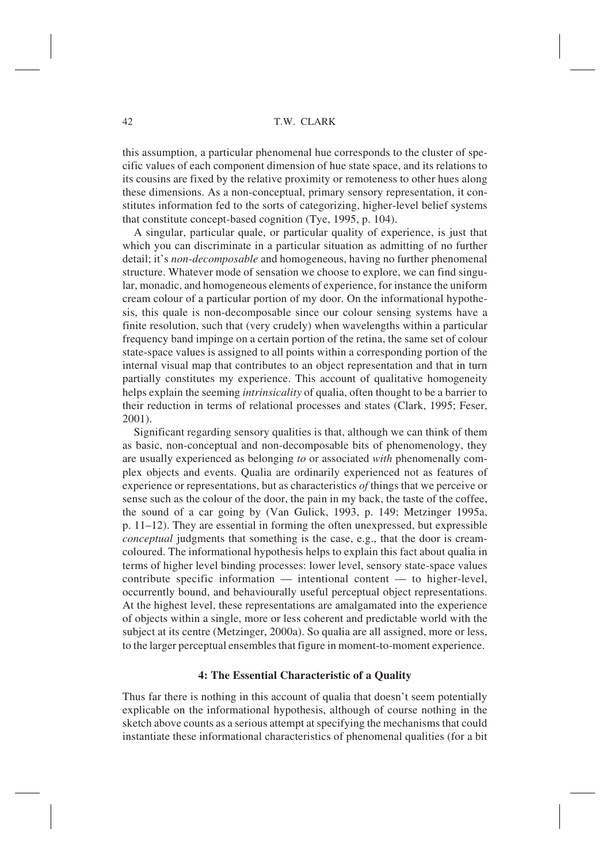this assumption, a particular phenomenal hue corresponds to the cluster of specific values of each component dimension of hue state space, and its relations to its cousins are fixed by the relative proximity or remoteness to other hues along these dimensions. As a non-conceptual, primary sensory representation, it constitutes information fed to the sorts of categorizing, higher-level belief systems that constitute concept-based cognition (Tye, 1995, p. 104).

A singular, particular quale, or particular quality of experience, is just that which you can discriminate in a particular situation as admitting of no further detail; it's *non-decomposable* and homogeneous, having no further phenomenal structure. Whatever mode of sensation we choose to explore, we can find singular, monadic, and homogeneous elements of experience, for instance the uniform cream colour of a particular portion of my door. On the informational hypothesis, this quale is non-decomposable since our colour sensing systems have a finite resolution, such that (very crudely) when wavelengths within a particular frequency band impinge on a certain portion of the retina, the same set of colour state-space values is assigned to all points within a corresponding portion of the internal visual map that contributes to an object representation and that in turn partially constitutes my experience. This account of qualitative homogeneity helps explain the seeming *intrinsicality* of qualia, often thought to be a barrier to their reduction in terms of relational processes and states (Clark, 1995; Feser, 2001).

Significant regarding sensory qualities is that, although we can think of them as basic, non-conceptual and non-decomposable bits of phenomenology, they are usually experienced as belonging *to* or associated *with* phenomenally complex objects and events. Qualia are ordinarily experienced not as features of experience or representations, but as characteristics *of* things that we perceive or sense such as the colour of the door, the pain in my back, the taste of the coffee, the sound of a car going by (Van Gulick, 1993, p. 149; Metzinger 1995a, p.  $11-12$ ). They are essential in forming the often unexpressed, but expressible *conceptual* judgments that something is the case, e.g., that the door is creamcoloured. The informational hypothesis helps to explain this fact about qualia in terms of higher level binding processes: lower level, sensory state-space values contribute specific information — intentional content — to higher-level, occurrently bound, and behaviourally useful perceptual object representations. At the highest level, these representations are amalgamated into the experience of objects within a single, more or less coherent and predictable world with the subject at its centre (Metzinger, 2000a). So qualia are all assigned, more or less, to the larger perceptual ensembles that figure in moment-to-moment experience.

#### **4: The Essential Characteristic of a Quality**

Thus far there is nothing in this account of qualia that doesn't seem potentially explicable on the informational hypothesis, although of course nothing in the sketch above counts as a serious attempt at specifying the mechanisms that could instantiate these informational characteristics of phenomenal qualities (for a bit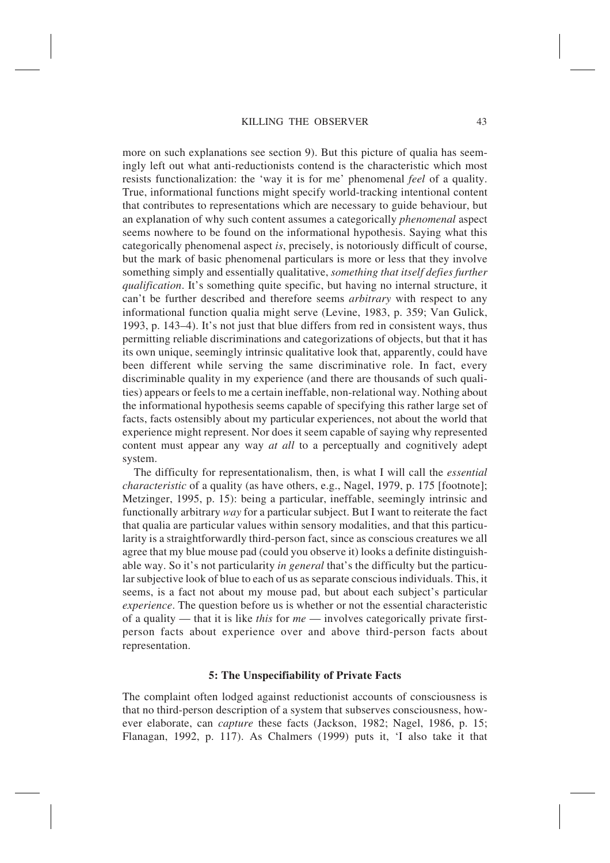more on such explanations see section 9). But this picture of qualia has seemingly left out what anti-reductionists contend is the characteristic which most resists functionalization: the 'way it is for me' phenomenal *feel* of a quality. True, informational functions might specify world-tracking intentional content that contributes to representations which are necessary to guide behaviour, but an explanation of why such content assumes a categorically *phenomenal* aspect seems nowhere to be found on the informational hypothesis. Saying what this categorically phenomenal aspect *is*, precisely, is notoriously difficult of course, but the mark of basic phenomenal particulars is more or less that they involve something simply and essentially qualitative, *something that itself defies further qualification*. It's something quite specific, but having no internal structure, it can't be further described and therefore seems *arbitrary* with respect to any informational function qualia might serve (Levine, 1983, p. 359; Van Gulick, 1993, p. 143–4). It's not just that blue differs from red in consistent ways, thus permitting reliable discriminations and categorizations of objects, but that it has its own unique, seemingly intrinsic qualitative look that, apparently, could have been different while serving the same discriminative role. In fact, every discriminable quality in my experience (and there are thousands of such qualities) appears or feels to me a certain ineffable, non-relational way. Nothing about the informational hypothesis seems capable of specifying this rather large set of facts, facts ostensibly about my particular experiences, not about the world that experience might represent. Nor does it seem capable of saying why represented content must appear any way *at all* to a perceptually and cognitively adept system.

The difficulty for representationalism, then, is what I will call the *essential characteristic* of a quality (as have others, e.g., Nagel, 1979, p. 175 [footnote]; Metzinger, 1995, p. 15): being a particular, ineffable, seemingly intrinsic and functionally arbitrary *way* for a particular subject. But I want to reiterate the fact that qualia are particular values within sensory modalities, and that this particularity is a straightforwardly third-person fact, since as conscious creatures we all agree that my blue mouse pad (could you observe it) looks a definite distinguishable way. So it's not particularity *in general* that's the difficulty but the particular subjective look of blue to each of us as separate conscious individuals. This, it seems, is a fact not about my mouse pad, but about each subject's particular *experience*. The question before us is whether or not the essential characteristic of a quality — that it is like *this* for *me* — involves categorically private firstperson facts about experience over and above third-person facts about representation.

#### **5: The Unspecifiability of Private Facts**

The complaint often lodged against reductionist accounts of consciousness is that no third-person description of a system that subserves consciousness, however elaborate, can *capture* these facts (Jackson, 1982; Nagel, 1986, p. 15; Flanagan, 1992, p. 117). As Chalmers (1999) puts it, 'I also take it that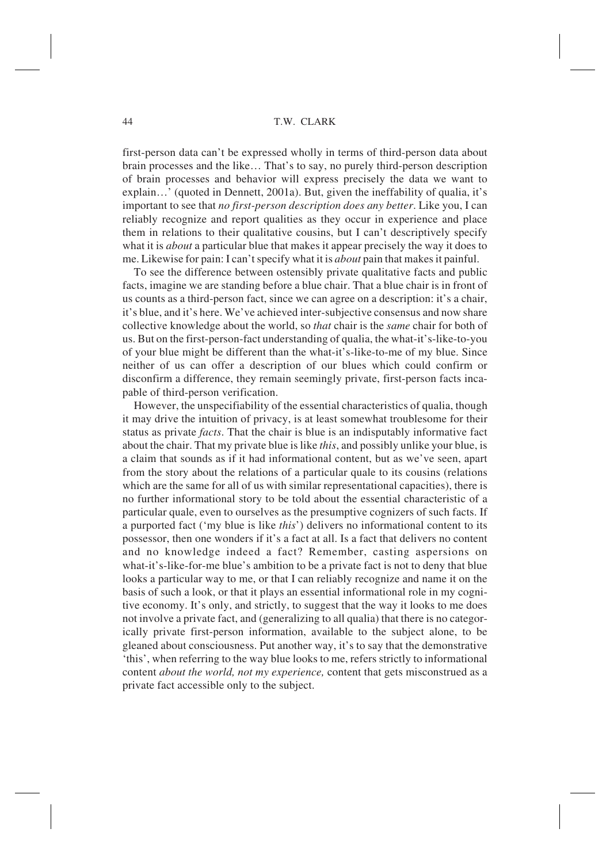first-person data can't be expressed wholly in terms of third-person data about brain processes and the like… That's to say, no purely third-person description of brain processes and behavior will express precisely the data we want to explain…' (quoted in Dennett, 2001a). But, given the ineffability of qualia, it's important to see that *no first-person description does any better*. Like you, I can reliably recognize and report qualities as they occur in experience and place them in relations to their qualitative cousins, but I can't descriptively specify what it is *about* a particular blue that makes it appear precisely the way it does to me. Likewise for pain: I can't specify what it is *about* pain that makes it painful.

To see the difference between ostensibly private qualitative facts and public facts, imagine we are standing before a blue chair. That a blue chair is in front of us counts as a third-person fact, since we can agree on a description: it's a chair, it's blue, and it's here. We've achieved inter-subjective consensus and now share collective knowledge about the world, so *that* chair is the *same* chair for both of us. But on the first-person-fact understanding of qualia, the what-it's-like-to-you of your blue might be different than the what-it's-like-to-me of my blue. Since neither of us can offer a description of our blues which could confirm or disconfirm a difference, they remain seemingly private, first-person facts incapable of third-person verification.

However, the unspecifiability of the essential characteristics of qualia, though it may drive the intuition of privacy, is at least somewhat troublesome for their status as private *facts*. That the chair is blue is an indisputably informative fact about the chair. That my private blue is like *this*, and possibly unlike your blue, is a claim that sounds as if it had informational content, but as we've seen, apart from the story about the relations of a particular quale to its cousins (relations which are the same for all of us with similar representational capacities), there is no further informational story to be told about the essential characteristic of a particular quale, even to ourselves as the presumptive cognizers of such facts. If a purported fact ('my blue is like *this*') delivers no informational content to its possessor, then one wonders if it's a fact at all. Is a fact that delivers no content and no knowledge indeed a fact? Remember, casting aspersions on what-it's-like-for-me blue's ambition to be a private fact is not to deny that blue looks a particular way to me, or that I can reliably recognize and name it on the basis of such a look, or that it plays an essential informational role in my cognitive economy. It's only, and strictly, to suggest that the way it looks to me does not involve a private fact, and (generalizing to all qualia) that there is no categorically private first-person information, available to the subject alone, to be gleaned about consciousness. Put another way, it's to say that the demonstrative 'this', when referring to the way blue looks to me, refers strictly to informational content *about the world, not my experience,* content that gets misconstrued as a private fact accessible only to the subject.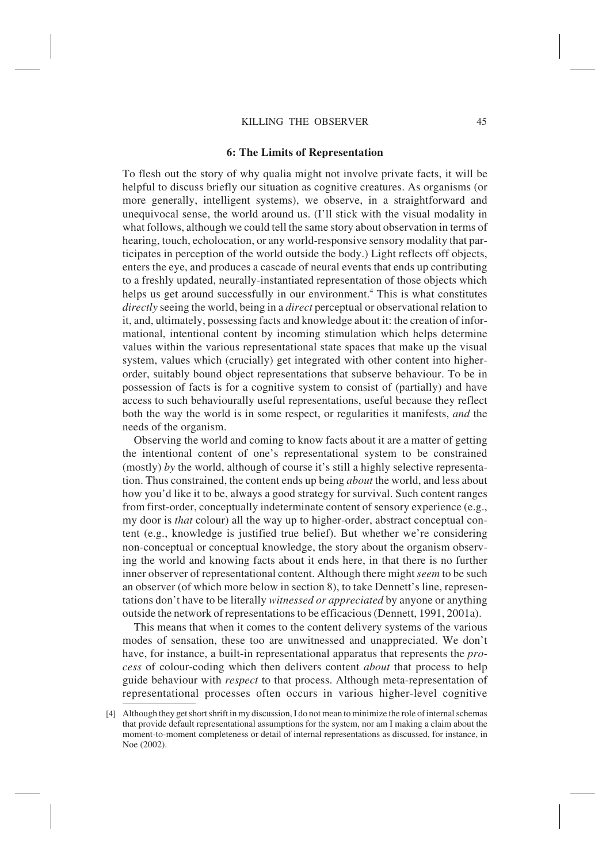# **6: The Limits of Representation**

To flesh out the story of why qualia might not involve private facts, it will be helpful to discuss briefly our situation as cognitive creatures. As organisms (or more generally, intelligent systems), we observe, in a straightforward and unequivocal sense, the world around us. (I'll stick with the visual modality in what follows, although we could tell the same story about observation in terms of hearing, touch, echolocation, or any world-responsive sensory modality that participates in perception of the world outside the body.) Light reflects off objects, enters the eye, and produces a cascade of neural events that ends up contributing to a freshly updated, neurally-instantiated representation of those objects which helps us get around successfully in our environment.<sup>4</sup> This is what constitutes *directly* seeing the world, being in a *direct* perceptual or observational relation to it, and, ultimately, possessing facts and knowledge about it: the creation of informational, intentional content by incoming stimulation which helps determine values within the various representational state spaces that make up the visual system, values which (crucially) get integrated with other content into higherorder, suitably bound object representations that subserve behaviour. To be in possession of facts is for a cognitive system to consist of (partially) and have access to such behaviourally useful representations, useful because they reflect both the way the world is in some respect, or regularities it manifests, *and* the needs of the organism.

Observing the world and coming to know facts about it are a matter of getting the intentional content of one's representational system to be constrained (mostly) *by* the world, although of course it's still a highly selective representation. Thus constrained, the content ends up being *about* the world, and less about how you'd like it to be, always a good strategy for survival. Such content ranges from first-order, conceptually indeterminate content of sensory experience (e.g., my door is *that* colour) all the way up to higher-order, abstract conceptual content (e.g., knowledge is justified true belief). But whether we're considering non-conceptual or conceptual knowledge, the story about the organism observing the world and knowing facts about it ends here, in that there is no further inner observer of representational content. Although there might *seem* to be such an observer (of which more below in section 8), to take Dennett's line, representations don't have to be literally *witnessed or appreciated* by anyone or anything outside the network of representations to be efficacious (Dennett, 1991, 2001a).

This means that when it comes to the content delivery systems of the various modes of sensation, these too are unwitnessed and unappreciated. We don't have, for instance, a built-in representational apparatus that represents the *process* of colour-coding which then delivers content *about* that process to help guide behaviour with *respect* to that process. Although meta-representation of representational processes often occurs in various higher-level cognitive

<sup>[4]</sup> Although they get short shrift in my discussion, I do not mean to minimize the role of internal schemas that provide default representational assumptions for the system, nor am I making a claim about the moment-to-moment completeness or detail of internal representations as discussed, for instance, in Noe (2002).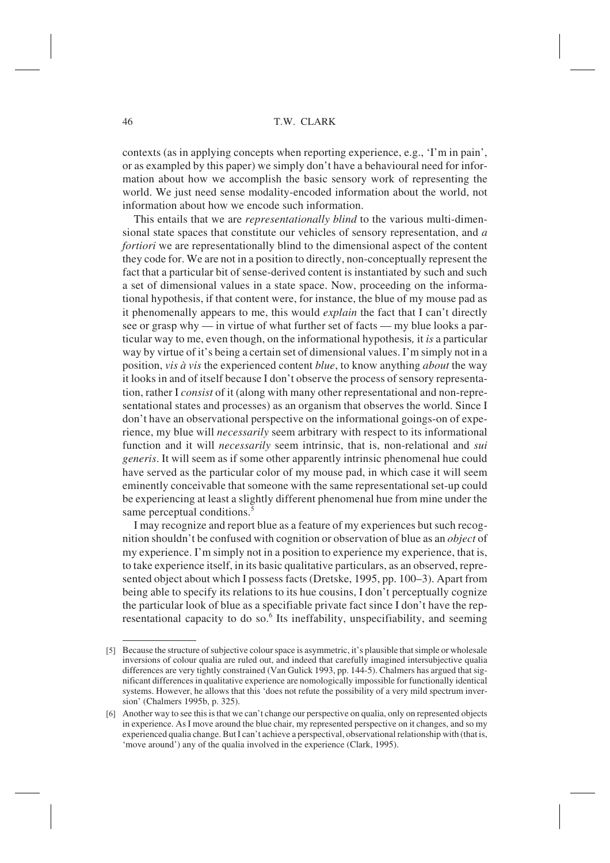contexts (as in applying concepts when reporting experience, e.g., 'I'm in pain', or as exampled by this paper) we simply don't have a behavioural need for information about how we accomplish the basic sensory work of representing the world. We just need sense modality-encoded information about the world, not information about how we encode such information.

This entails that we are *representationally blind* to the various multi-dimensional state spaces that constitute our vehicles of sensory representation, and *a fortiori* we are representationally blind to the dimensional aspect of the content they code for. We are not in a position to directly, non-conceptually represent the fact that a particular bit of sense-derived content is instantiated by such and such a set of dimensional values in a state space. Now, proceeding on the informational hypothesis, if that content were, for instance, the blue of my mouse pad as it phenomenally appears to me, this would *explain* the fact that I can't directly see or grasp why — in virtue of what further set of facts — my blue looks a particular way to me, even though, on the informational hypothesis*,* it *is* a particular way by virtue of it's being a certain set of dimensional values. I'm simply not in a position, *vis à vis* the experienced content *blue*, to know anything *about* the way it looks in and of itself because I don't observe the process of sensory representation, rather I *consist* of it (along with many other representational and non-representational states and processes) as an organism that observes the world. Since I don't have an observational perspective on the informational goings-on of experience, my blue will *necessarily* seem arbitrary with respect to its informational function and it will *necessarily* seem intrinsic, that is, non-relational and *sui generis*. It will seem as if some other apparently intrinsic phenomenal hue could have served as the particular color of my mouse pad, in which case it will seem eminently conceivable that someone with the same representational set-up could be experiencing at least a slightly different phenomenal hue from mine under the same perceptual conditions.<sup>5</sup>

I may recognize and report blue as a feature of my experiences but such recognition shouldn't be confused with cognition or observation of blue as an *object* of my experience. I'm simply not in a position to experience my experience, that is, to take experience itself, in its basic qualitative particulars, as an observed, represented object about which I possess facts (Dretske, 1995, pp. 100–3). Apart from being able to specify its relations to its hue cousins, I don't perceptually cognize the particular look of blue as a specifiable private fact since I don't have the representational capacity to do so.<sup>6</sup> Its ineffability, unspecifiability, and seeming

<sup>[5]</sup> Because the structure of subjective colour space is asymmetric, it's plausible that simple or wholesale inversions of colour qualia are ruled out, and indeed that carefully imagined intersubjective qualia differences are very tightly constrained (Van Gulick 1993, pp. 144-5). Chalmers has argued that significant differences in qualitative experience are nomologically impossible for functionally identical systems. However, he allows that this 'does not refute the possibility of a very mild spectrum inversion' (Chalmers 1995b, p. 325).

<sup>[6]</sup> Another way to see this is that we can't change our perspective on qualia, only on represented objects in experience. As I move around the blue chair, my represented perspective on it changes, and so my experienced qualia change. But I can't achieve a perspectival, observational relationship with (that is, 'move around') any of the qualia involved in the experience (Clark, 1995).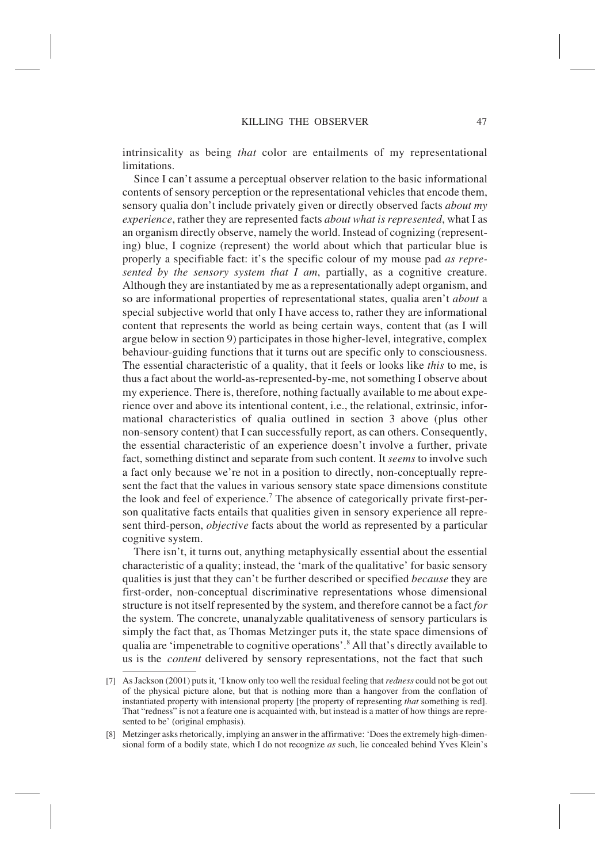intrinsicality as being *that* color are entailments of my representational limitations.

Since I can't assume a perceptual observer relation to the basic informational contents of sensory perception or the representational vehicles that encode them, sensory qualia don't include privately given or directly observed facts *about my experience*, rather they are represented facts *about what is represented*, what I as an organism directly observe, namely the world. Instead of cognizing (representing) blue, I cognize (represent) the world about which that particular blue is properly a specifiable fact: it's the specific colour of my mouse pad *as represented by the sensory system that I am*, partially, as a cognitive creature. Although they are instantiated by me as a representationally adept organism, and so are informational properties of representational states, qualia aren't *about* a special subjective world that only I have access to, rather they are informational content that represents the world as being certain ways, content that (as I will argue below in section 9) participates in those higher-level, integrative, complex behaviour-guiding functions that it turns out are specific only to consciousness. The essential characteristic of a quality, that it feels or looks like *this* to me, is thus a fact about the world-as-represented-by-me, not something I observe about my experience. There is, therefore, nothing factually available to me about experience over and above its intentional content, i.e., the relational, extrinsic, informational characteristics of qualia outlined in section 3 above (plus other non-sensory content) that I can successfully report, as can others. Consequently, the essential characteristic of an experience doesn't involve a further, private fact, something distinct and separate from such content. It *seems* to involve such a fact only because we're not in a position to directly, non-conceptually represent the fact that the values in various sensory state space dimensions constitute the look and feel of experience.<sup>7</sup> The absence of categorically private first-person qualitative facts entails that qualities given in sensory experience all represent third-person, *objecti*v*e* facts about the world as represented by a particular cognitive system.

There isn't, it turns out, anything metaphysically essential about the essential characteristic of a quality; instead, the 'mark of the qualitative' for basic sensory qualities is just that they can't be further described or specified *because* they are first-order, non-conceptual discriminative representations whose dimensional structure is not itself represented by the system, and therefore cannot be a fact *for* the system. The concrete, unanalyzable qualitativeness of sensory particulars is simply the fact that, as Thomas Metzinger puts it, the state space dimensions of qualia are 'impenetrable to cognitive operations'.8 All that's directly available to us is the *content* delivered by sensory representations, not the fact that such

<sup>[7]</sup> As Jackson (2001) puts it, 'I know only too well the residual feeling that *redness* could not be got out of the physical picture alone, but that is nothing more than a hangover from the conflation of instantiated property with intensional property [the property of representing *that* something is red]. That "redness" is not a feature one is acquainted with, but instead is a matter of how things are represented to be' (original emphasis).

<sup>[8]</sup> Metzinger asks rhetorically, implying an answer in the affirmative: 'Does the extremely high-dimensional form of a bodily state, which I do not recognize *as* such, lie concealed behind Yves Klein's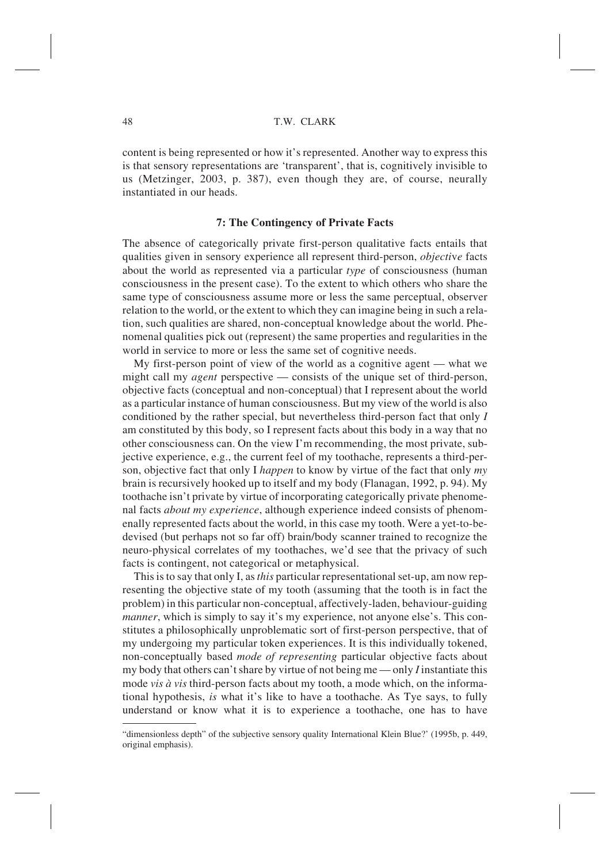content is being represented or how it's represented. Another way to express this is that sensory representations are 'transparent', that is, cognitively invisible to us (Metzinger, 2003, p. 387), even though they are, of course, neurally instantiated in our heads.

# **7: The Contingency of Private Facts**

The absence of categorically private first-person qualitative facts entails that qualities given in sensory experience all represent third-person, *objecti*v*e* facts about the world as represented via a particular *type* of consciousness (human consciousness in the present case). To the extent to which others who share the same type of consciousness assume more or less the same perceptual, observer relation to the world, or the extent to which they can imagine being in such a relation, such qualities are shared, non-conceptual knowledge about the world. Phenomenal qualities pick out (represent) the same properties and regularities in the world in service to more or less the same set of cognitive needs.

My first-person point of view of the world as a cognitive agent — what we might call my *agent* perspective — consists of the unique set of third-person, objective facts (conceptual and non-conceptual) that I represent about the world as a particular instance of human consciousness. But my view of the world is also conditioned by the rather special, but nevertheless third-person fact that only *I* am constituted by this body, so I represent facts about this body in a way that no other consciousness can. On the view I'm recommending, the most private, subjective experience, e.g., the current feel of my toothache, represents a third-person, objective fact that only I *happen* to know by virtue of the fact that only *my* brain is recursively hooked up to itself and my body (Flanagan, 1992, p. 94). My toothache isn't private by virtue of incorporating categorically private phenomenal facts *about my experience*, although experience indeed consists of phenomenally represented facts about the world, in this case my tooth. Were a yet-to-bedevised (but perhaps not so far off) brain/body scanner trained to recognize the neuro-physical correlates of my toothaches, we'd see that the privacy of such facts is contingent, not categorical or metaphysical.

This is to say that only I, as*this* particular representational set-up, am now representing the objective state of my tooth (assuming that the tooth is in fact the problem) in this particular non-conceptual, affectively-laden, behaviour-guiding *manner*, which is simply to say it's my experience, not anyone else's. This constitutes a philosophically unproblematic sort of first-person perspective, that of my undergoing my particular token experiences. It is this individually tokened, non-conceptually based *mode of representing* particular objective facts about my body that others can't share by virtue of not being me — only *I* instantiate this mode *vis à vis* third-person facts about my tooth, a mode which, on the informational hypothesis, *is* what it's like to have a toothache. As Tye says, to fully understand or know what it is to experience a toothache, one has to have

<sup>&</sup>quot;dimensionless depth" of the subjective sensory quality International Klein Blue?' (1995b, p. 449, original emphasis).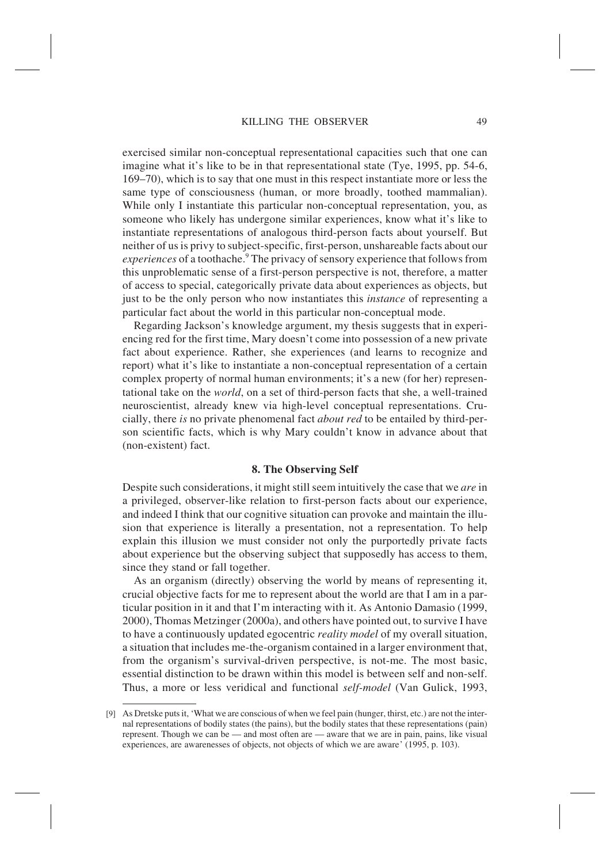exercised similar non-conceptual representational capacities such that one can imagine what it's like to be in that representational state (Tye, 1995, pp. 54-6, 169–70), which is to say that one must in this respect instantiate more or less the same type of consciousness (human, or more broadly, toothed mammalian). While only I instantiate this particular non-conceptual representation, you, as someone who likely has undergone similar experiences, know what it's like to instantiate representations of analogous third-person facts about yourself. But neither of us is privy to subject-specific, first-person, unshareable facts about our *experiences* of a toothache.<sup>9</sup> The privacy of sensory experience that follows from this unproblematic sense of a first-person perspective is not, therefore, a matter of access to special, categorically private data about experiences as objects, but just to be the only person who now instantiates this *instance* of representing a particular fact about the world in this particular non-conceptual mode.

Regarding Jackson's knowledge argument, my thesis suggests that in experiencing red for the first time, Mary doesn't come into possession of a new private fact about experience. Rather, she experiences (and learns to recognize and report) what it's like to instantiate a non-conceptual representation of a certain complex property of normal human environments; it's a new (for her) representational take on the *world*, on a set of third-person facts that she, a well-trained neuroscientist, already knew via high-level conceptual representations. Crucially, there *is* no private phenomenal fact *about red* to be entailed by third-person scientific facts, which is why Mary couldn't know in advance about that (non-existent) fact.

#### **8. The Observing Self**

Despite such considerations, it might still seem intuitively the case that we *are* in a privileged, observer-like relation to first-person facts about our experience, and indeed I think that our cognitive situation can provoke and maintain the illusion that experience is literally a presentation, not a representation. To help explain this illusion we must consider not only the purportedly private facts about experience but the observing subject that supposedly has access to them, since they stand or fall together.

As an organism (directly) observing the world by means of representing it, crucial objective facts for me to represent about the world are that I am in a particular position in it and that I'm interacting with it. As Antonio Damasio (1999, 2000), Thomas Metzinger (2000a), and others have pointed out, to survive I have to have a continuously updated egocentric *reality model* of my overall situation, a situation that includes me-the-organism contained in a larger environment that, from the organism's survival-driven perspective, is not-me. The most basic, essential distinction to be drawn within this model is between self and non-self. Thus, a more or less veridical and functional *self-model* (Van Gulick, 1993,

<sup>[9]</sup> As Dretske puts it, 'What we are conscious of when we feel pain (hunger, thirst, etc.) are not the internal representations of bodily states (the pains), but the bodily states that these representations (pain) represent. Though we can be — and most often are — aware that we are in pain, pains, like visual experiences, are awarenesses of objects, not objects of which we are aware' (1995, p. 103).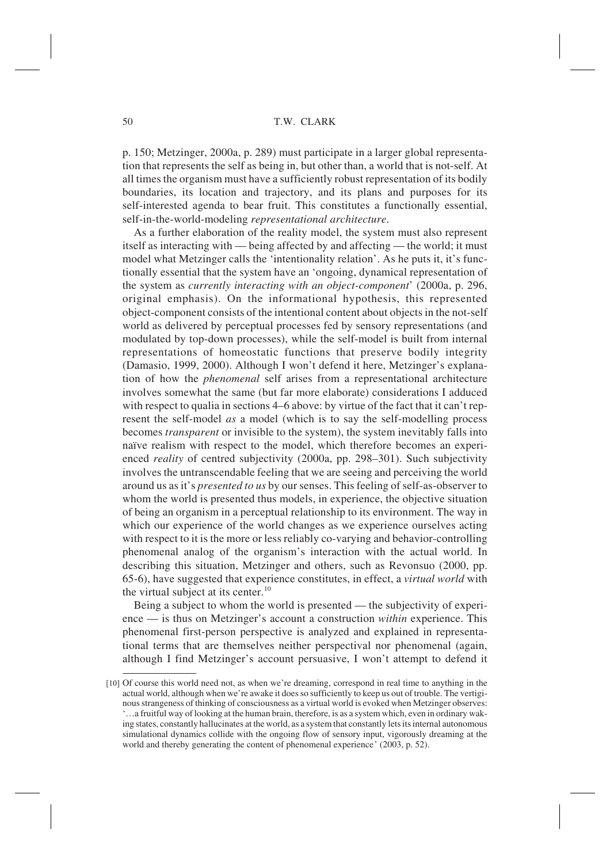p. 150; Metzinger, 2000a, p. 289) must participate in a larger global representation that represents the self as being in, but other than, a world that is not-self. At all times the organism must have a sufficiently robust representation of its bodily boundaries, its location and trajectory, and its plans and purposes for its self-interested agenda to bear fruit. This constitutes a functionally essential, self-in-the-world-modeling *representational architecture*.

As a further elaboration of the reality model, the system must also represent itself as interacting with — being affected by and affecting — the world; it must model what Metzinger calls the 'intentionality relation'. As he puts it, it's functionally essential that the system have an 'ongoing, dynamical representation of the system as *currently interacting with an object-component*' (2000a, p. 296, original emphasis). On the informational hypothesis, this represented object-component consists of the intentional content about objects in the not-self world as delivered by perceptual processes fed by sensory representations (and modulated by top-down processes), while the self-model is built from internal representations of homeostatic functions that preserve bodily integrity (Damasio, 1999, 2000). Although I won't defend it here, Metzinger's explanation of how the *phenomenal* self arises from a representational architecture involves somewhat the same (but far more elaborate) considerations I adduced with respect to qualia in sections 4–6 above: by virtue of the fact that it can't represent the self-model *as* a model (which is to say the self-modelling process becomes *transparent* or invisible to the system), the system inevitably falls into naïve realism with respect to the model, which therefore becomes an experienced *reality* of centred subjectivity (2000a, pp. 298–301). Such subjectivity involves the untranscendable feeling that we are seeing and perceiving the world around us as it's *presented to us* by our senses. This feeling of self-as-observer to whom the world is presented thus models, in experience, the objective situation of being an organism in a perceptual relationship to its environment. The way in which our experience of the world changes as we experience ourselves acting with respect to it is the more or less reliably co-varying and behavior-controlling phenomenal analog of the organism's interaction with the actual world. In describing this situation, Metzinger and others, such as Revonsuo (2000, pp. 65-6), have suggested that experience constitutes, in effect, a *virtual world* with the virtual subject at its center.<sup>10</sup>

Being a subject to whom the world is presented — the subjectivity of experience — is thus on Metzinger's account a construction *within* experience. This phenomenal first-person perspective is analyzed and explained in representational terms that are themselves neither perspectival nor phenomenal (again, although I find Metzinger's account persuasive, I won't attempt to defend it

<sup>[10]</sup> Of course this world need not, as when we're dreaming, correspond in real time to anything in the actual world, although when we're awake it does so sufficiently to keep us out of trouble. The vertiginous strangeness of thinking of consciousness as a virtual world is evoked when Metzinger observes: '…a fruitful way of looking at the human brain, therefore, is as a system which, even in ordinary waking states, constantly hallucinates at the world, as a system that constantly lets its internal autonomous simulational dynamics collide with the ongoing flow of sensory input, vigorously dreaming at the world and thereby generating the content of phenomenal experience' (2003, p. 52).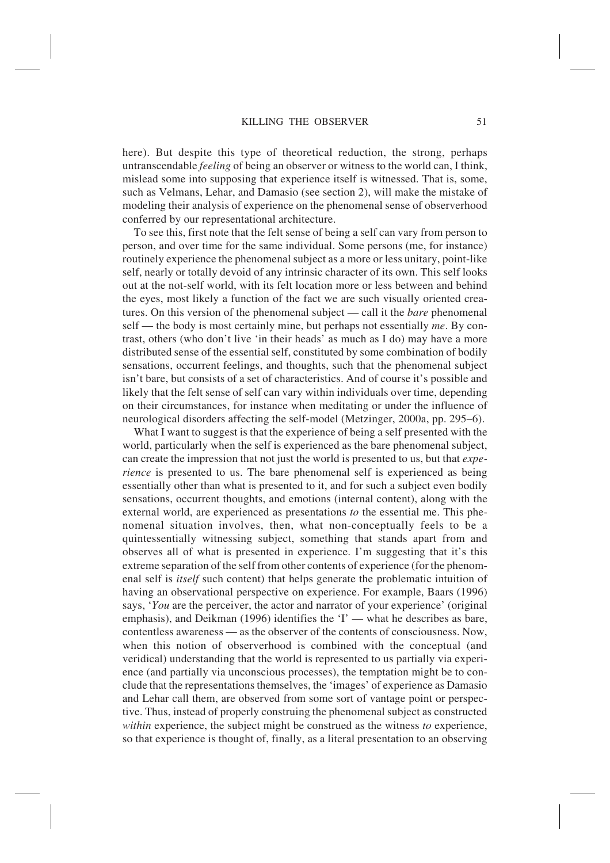here). But despite this type of theoretical reduction, the strong, perhaps untranscendable *feeling* of being an observer or witness to the world can, I think, mislead some into supposing that experience itself is witnessed. That is, some, such as Velmans, Lehar, and Damasio (see section 2), will make the mistake of modeling their analysis of experience on the phenomenal sense of observerhood conferred by our representational architecture.

To see this, first note that the felt sense of being a self can vary from person to person, and over time for the same individual. Some persons (me, for instance) routinely experience the phenomenal subject as a more or less unitary, point-like self, nearly or totally devoid of any intrinsic character of its own. This self looks out at the not-self world, with its felt location more or less between and behind the eyes, most likely a function of the fact we are such visually oriented creatures. On this version of the phenomenal subject — call it the *bare* phenomenal self — the body is most certainly mine, but perhaps not essentially *me*. By contrast, others (who don't live 'in their heads' as much as I do) may have a more distributed sense of the essential self, constituted by some combination of bodily sensations, occurrent feelings, and thoughts, such that the phenomenal subject isn't bare, but consists of a set of characteristics. And of course it's possible and likely that the felt sense of self can vary within individuals over time, depending on their circumstances, for instance when meditating or under the influence of neurological disorders affecting the self-model (Metzinger, 2000a, pp. 295–6).

What I want to suggest is that the experience of being a self presented with the world, particularly when the self is experienced as the bare phenomenal subject, can create the impression that not just the world is presented to us, but that *experience* is presented to us. The bare phenomenal self is experienced as being essentially other than what is presented to it, and for such a subject even bodily sensations, occurrent thoughts, and emotions (internal content), along with the external world, are experienced as presentations *to* the essential me. This phenomenal situation involves, then, what non-conceptually feels to be a quintessentially witnessing subject, something that stands apart from and observes all of what is presented in experience. I'm suggesting that it's this extreme separation of the self from other contents of experience (for the phenomenal self is *itself* such content) that helps generate the problematic intuition of having an observational perspective on experience. For example, Baars (1996) says, '*You* are the perceiver, the actor and narrator of your experience' (original emphasis), and Deikman (1996) identifies the 'I' — what he describes as bare, contentless awareness — as the observer of the contents of consciousness. Now, when this notion of observerhood is combined with the conceptual (and veridical) understanding that the world is represented to us partially via experience (and partially via unconscious processes), the temptation might be to conclude that the representations themselves, the 'images' of experience as Damasio and Lehar call them, are observed from some sort of vantage point or perspective. Thus, instead of properly construing the phenomenal subject as constructed *within* experience, the subject might be construed as the witness *to* experience, so that experience is thought of, finally, as a literal presentation to an observing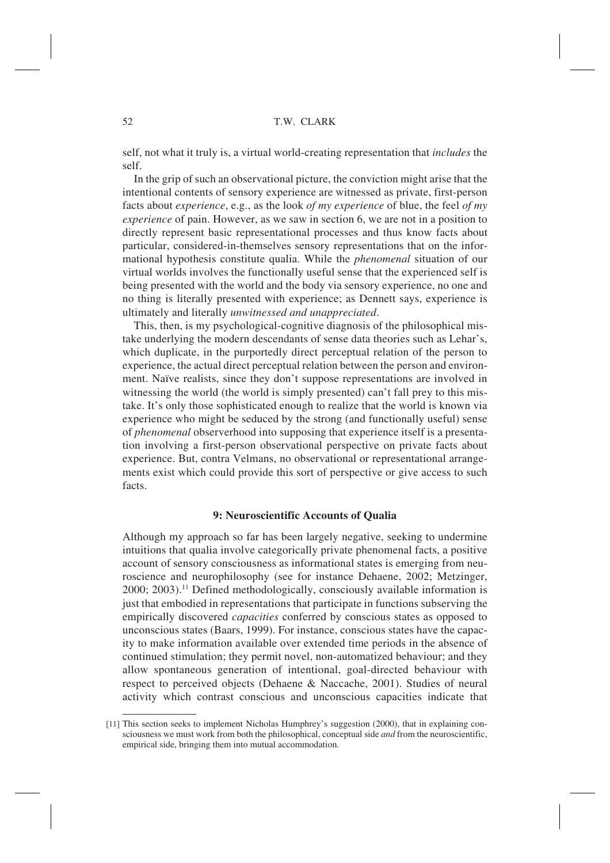self, not what it truly is, a virtual world-creating representation that *includes* the self.

In the grip of such an observational picture, the conviction might arise that the intentional contents of sensory experience are witnessed as private, first-person facts about *experience*, e.g., as the look *of my experience* of blue, the feel *of my experience* of pain. However, as we saw in section 6, we are not in a position to directly represent basic representational processes and thus know facts about particular, considered-in-themselves sensory representations that on the informational hypothesis constitute qualia. While the *phenomenal* situation of our virtual worlds involves the functionally useful sense that the experienced self is being presented with the world and the body via sensory experience, no one and no thing is literally presented with experience; as Dennett says, experience is ultimately and literally *unwitnessed and unappreciated*.

This, then, is my psychological-cognitive diagnosis of the philosophical mistake underlying the modern descendants of sense data theories such as Lehar's, which duplicate, in the purportedly direct perceptual relation of the person to experience, the actual direct perceptual relation between the person and environment. Naïve realists, since they don't suppose representations are involved in witnessing the world (the world is simply presented) can't fall prey to this mistake. It's only those sophisticated enough to realize that the world is known via experience who might be seduced by the strong (and functionally useful) sense of *phenomenal* observerhood into supposing that experience itself is a presentation involving a first-person observational perspective on private facts about experience. But, contra Velmans, no observational or representational arrangements exist which could provide this sort of perspective or give access to such facts.

#### **9: Neuroscientific Accounts of Qualia**

Although my approach so far has been largely negative, seeking to undermine intuitions that qualia involve categorically private phenomenal facts, a positive account of sensory consciousness as informational states is emerging from neuroscience and neurophilosophy (see for instance Dehaene, 2002; Metzinger,  $2000$ ;  $2003$ ).<sup>11</sup> Defined methodologically, consciously available information is just that embodied in representations that participate in functions subserving the empirically discovered *capacities* conferred by conscious states as opposed to unconscious states (Baars, 1999). For instance, conscious states have the capacity to make information available over extended time periods in the absence of continued stimulation; they permit novel, non-automatized behaviour; and they allow spontaneous generation of intentional, goal-directed behaviour with respect to perceived objects (Dehaene & Naccache, 2001). Studies of neural activity which contrast conscious and unconscious capacities indicate that

<sup>[11]</sup> This section seeks to implement Nicholas Humphrey's suggestion (2000), that in explaining consciousness we must work from both the philosophical, conceptual side *and* from the neuroscientific, empirical side, bringing them into mutual accommodation.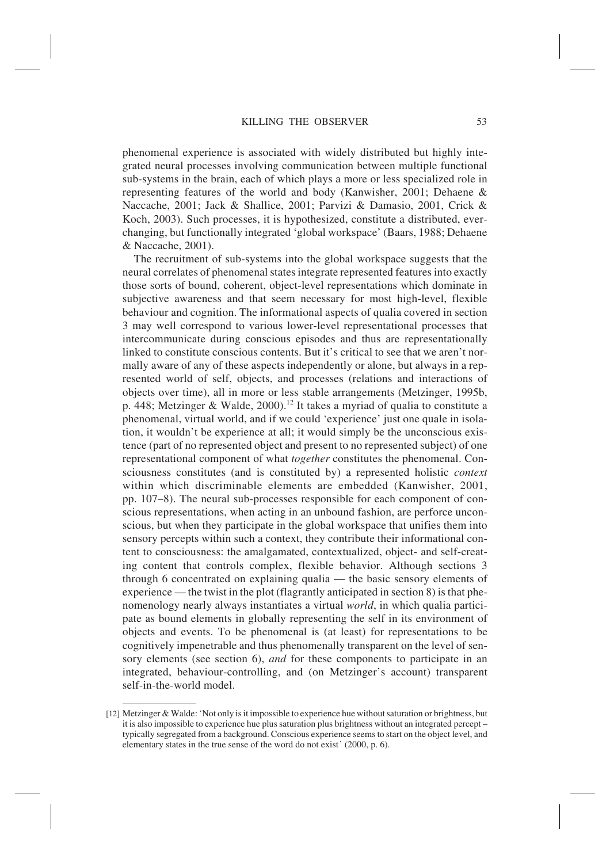phenomenal experience is associated with widely distributed but highly integrated neural processes involving communication between multiple functional sub-systems in the brain, each of which plays a more or less specialized role in representing features of the world and body (Kanwisher, 2001; Dehaene & Naccache, 2001; Jack & Shallice, 2001; Parvizi & Damasio, 2001, Crick & Koch, 2003). Such processes, it is hypothesized, constitute a distributed, everchanging, but functionally integrated 'global workspace' (Baars, 1988; Dehaene & Naccache, 2001).

The recruitment of sub-systems into the global workspace suggests that the neural correlates of phenomenal states integrate represented features into exactly those sorts of bound, coherent, object-level representations which dominate in subjective awareness and that seem necessary for most high-level, flexible behaviour and cognition. The informational aspects of qualia covered in section 3 may well correspond to various lower-level representational processes that intercommunicate during conscious episodes and thus are representationally linked to constitute conscious contents. But it's critical to see that we aren't normally aware of any of these aspects independently or alone, but always in a represented world of self, objects, and processes (relations and interactions of objects over time), all in more or less stable arrangements (Metzinger, 1995b, p. 448; Metzinger & Walde, 2000).<sup>12</sup> It takes a myriad of qualia to constitute a phenomenal, virtual world, and if we could 'experience' just one quale in isolation, it wouldn't be experience at all; it would simply be the unconscious existence (part of no represented object and present to no represented subject) of one representational component of what *together* constitutes the phenomenal. Consciousness constitutes (and is constituted by) a represented holistic *context* within which discriminable elements are embedded (Kanwisher, 2001, pp. 107–8). The neural sub-processes responsible for each component of conscious representations, when acting in an unbound fashion, are perforce unconscious, but when they participate in the global workspace that unifies them into sensory percepts within such a context, they contribute their informational content to consciousness: the amalgamated, contextualized, object- and self-creating content that controls complex, flexible behavior. Although sections 3 through 6 concentrated on explaining qualia — the basic sensory elements of experience — the twist in the plot (flagrantly anticipated in section 8) is that phenomenology nearly always instantiates a virtual *world*, in which qualia participate as bound elements in globally representing the self in its environment of objects and events. To be phenomenal is (at least) for representations to be cognitively impenetrable and thus phenomenally transparent on the level of sensory elements (see section 6), *and* for these components to participate in an integrated, behaviour-controlling, and (on Metzinger's account) transparent self-in-the-world model.

<sup>[12]</sup> Metzinger & Walde: 'Not only is it impossible to experience hue without saturation or brightness, but it is also impossible to experience hue plus saturation plus brightness without an integrated percept – typically segregated from a background. Conscious experience seems to start on the object level, and elementary states in the true sense of the word do not exist' (2000, p. 6).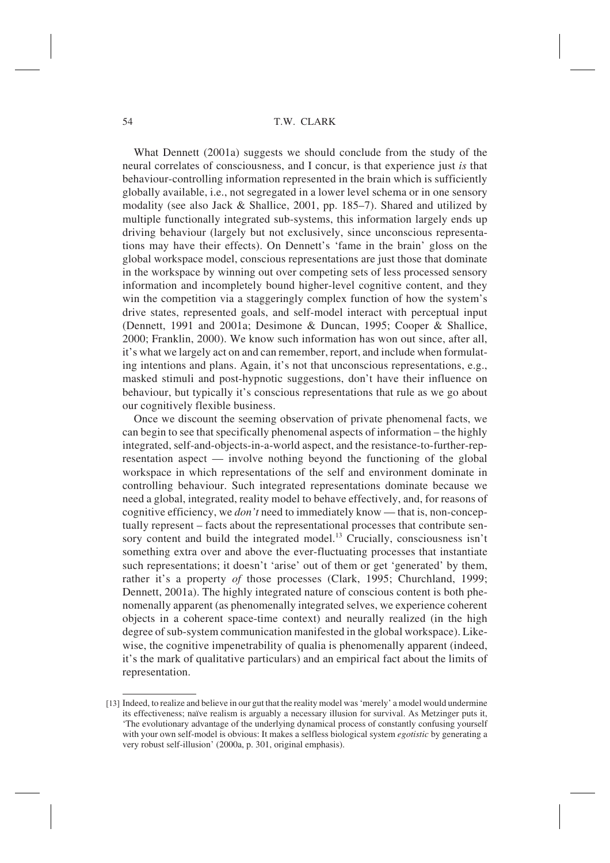What Dennett (2001a) suggests we should conclude from the study of the neural correlates of consciousness, and I concur, is that experience just *is* that behaviour-controlling information represented in the brain which is sufficiently globally available, i.e., not segregated in a lower level schema or in one sensory modality (see also Jack & Shallice, 2001, pp. 185–7). Shared and utilized by multiple functionally integrated sub-systems, this information largely ends up driving behaviour (largely but not exclusively, since unconscious representations may have their effects). On Dennett's 'fame in the brain' gloss on the global workspace model, conscious representations are just those that dominate in the workspace by winning out over competing sets of less processed sensory information and incompletely bound higher-level cognitive content, and they win the competition via a staggeringly complex function of how the system's drive states, represented goals, and self-model interact with perceptual input (Dennett, 1991 and 2001a; Desimone & Duncan, 1995; Cooper & Shallice, 2000; Franklin, 2000). We know such information has won out since, after all, it's what we largely act on and can remember, report, and include when formulating intentions and plans. Again, it's not that unconscious representations, e.g., masked stimuli and post-hypnotic suggestions, don't have their influence on behaviour, but typically it's conscious representations that rule as we go about our cognitively flexible business.

Once we discount the seeming observation of private phenomenal facts, we can begin to see that specifically phenomenal aspects of information – the highly integrated, self-and-objects-in-a-world aspect, and the resistance-to-further-representation aspect — involve nothing beyond the functioning of the global workspace in which representations of the self and environment dominate in controlling behaviour. Such integrated representations dominate because we need a global, integrated, reality model to behave effectively, and, for reasons of cognitive efficiency, we *don't* need to immediately know — that is, non-conceptually represent – facts about the representational processes that contribute sensory content and build the integrated model.<sup>13</sup> Crucially, consciousness isn't something extra over and above the ever-fluctuating processes that instantiate such representations; it doesn't 'arise' out of them or get 'generated' by them, rather it's a property *of* those processes (Clark, 1995; Churchland, 1999; Dennett, 2001a). The highly integrated nature of conscious content is both phenomenally apparent (as phenomenally integrated selves, we experience coherent objects in a coherent space-time context) and neurally realized (in the high degree of sub-system communication manifested in the global workspace). Likewise, the cognitive impenetrability of qualia is phenomenally apparent (indeed, it's the mark of qualitative particulars) and an empirical fact about the limits of representation.

<sup>[13]</sup> Indeed, to realize and believe in our gut that the reality model was 'merely' a model would undermine its effectiveness; naïve realism is arguably a necessary illusion for survival. As Metzinger puts it, 'The evolutionary advantage of the underlying dynamical process of constantly confusing yourself with your own self-model is obvious: It makes a selfless biological system *egotistic* by generating a very robust self-illusion' (2000a, p. 301, original emphasis).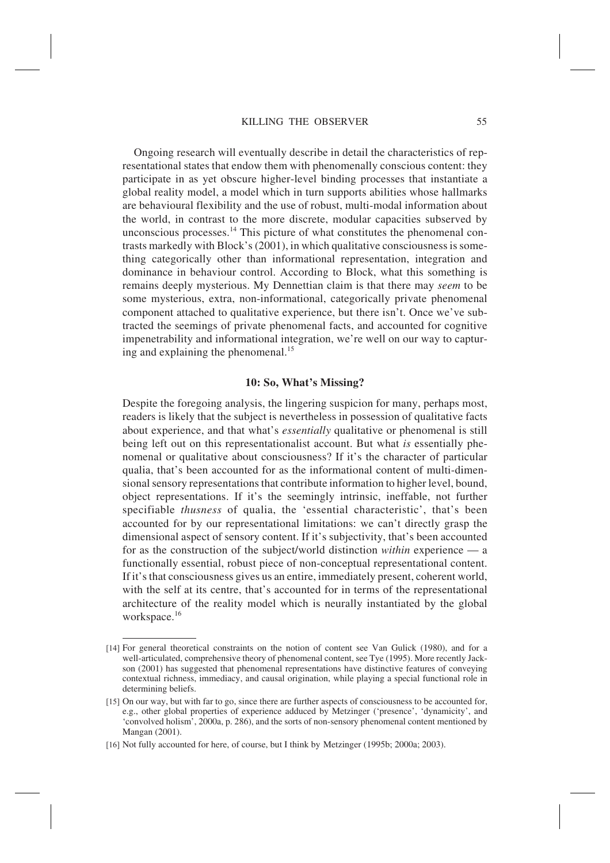Ongoing research will eventually describe in detail the characteristics of representational states that endow them with phenomenally conscious content: they participate in as yet obscure higher-level binding processes that instantiate a global reality model, a model which in turn supports abilities whose hallmarks are behavioural flexibility and the use of robust, multi-modal information about the world, in contrast to the more discrete, modular capacities subserved by unconscious processes.<sup>14</sup> This picture of what constitutes the phenomenal contrasts markedly with Block's (2001), in which qualitative consciousness is something categorically other than informational representation, integration and dominance in behaviour control. According to Block, what this something is remains deeply mysterious. My Dennettian claim is that there may *seem* to be some mysterious, extra, non-informational, categorically private phenomenal component attached to qualitative experience, but there isn't. Once we've subtracted the seemings of private phenomenal facts, and accounted for cognitive impenetrability and informational integration, we're well on our way to capturing and explaining the phenomenal.<sup>15</sup>

#### **10: So, What's Missing?**

Despite the foregoing analysis, the lingering suspicion for many, perhaps most, readers is likely that the subject is nevertheless in possession of qualitative facts about experience, and that what's *essentially* qualitative or phenomenal is still being left out on this representationalist account. But what *is* essentially phenomenal or qualitative about consciousness? If it's the character of particular qualia, that's been accounted for as the informational content of multi-dimensional sensory representations that contribute information to higher level, bound, object representations. If it's the seemingly intrinsic, ineffable, not further specifiable *thusness* of qualia, the 'essential characteristic', that's been accounted for by our representational limitations: we can't directly grasp the dimensional aspect of sensory content. If it's subjectivity, that's been accounted for as the construction of the subject/world distinction *within* experience — a functionally essential, robust piece of non-conceptual representational content. If it's that consciousness gives us an entire, immediately present, coherent world, with the self at its centre, that's accounted for in terms of the representational architecture of the reality model which is neurally instantiated by the global workspace.<sup>16</sup>

<sup>[14]</sup> For general theoretical constraints on the notion of content see Van Gulick (1980), and for a well-articulated, comprehensive theory of phenomenal content, see Tye (1995). More recently Jackson (2001) has suggested that phenomenal representations have distinctive features of conveying contextual richness, immediacy, and causal origination, while playing a special functional role in determining beliefs.

<sup>[15]</sup> On our way, but with far to go, since there are further aspects of consciousness to be accounted for, e.g., other global properties of experience adduced by Metzinger ('presence', 'dynamicity', and 'convolved holism', 2000a, p. 286), and the sorts of non-sensory phenomenal content mentioned by Mangan (2001).

<sup>[16]</sup> Not fully accounted for here, of course, but I think by Metzinger (1995b; 2000a; 2003).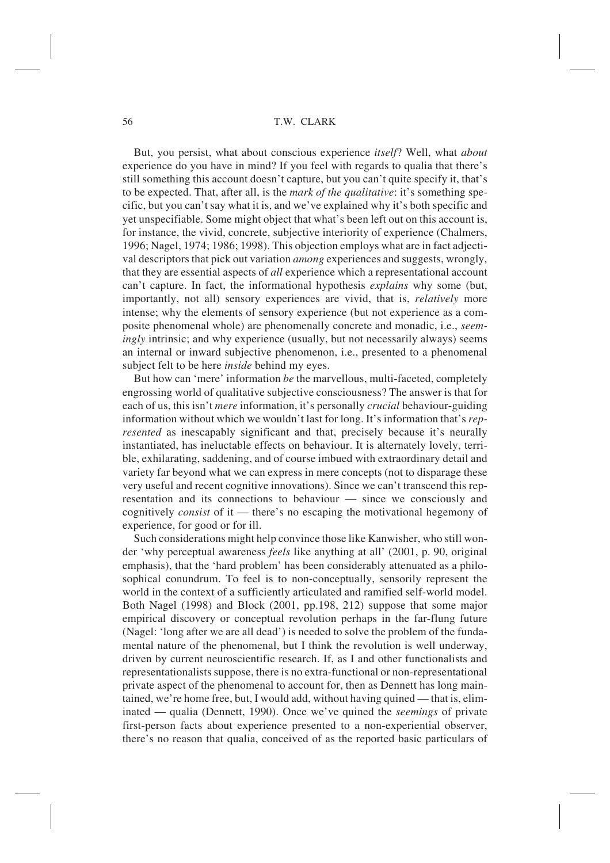But, you persist, what about conscious experience *itself*? Well, what *about* experience do you have in mind? If you feel with regards to qualia that there's still something this account doesn't capture, but you can't quite specify it, that's to be expected. That, after all, is the *mark of the qualitative*: it's something specific, but you can't say what it is, and we've explained why it's both specific and yet unspecifiable. Some might object that what's been left out on this account is, for instance, the vivid, concrete, subjective interiority of experience (Chalmers, 1996; Nagel, 1974; 1986; 1998). This objection employs what are in fact adjectival descriptors that pick out variation *among* experiences and suggests, wrongly, that they are essential aspects of *all* experience which a representational account can't capture. In fact, the informational hypothesis *explains* why some (but, importantly, not all) sensory experiences are vivid, that is, *relatively* more intense; why the elements of sensory experience (but not experience as a composite phenomenal whole) are phenomenally concrete and monadic, i.e., *seemingly* intrinsic; and why experience (usually, but not necessarily always) seems an internal or inward subjective phenomenon, i.e., presented to a phenomenal subject felt to be here *inside* behind my eyes.

But how can 'mere' information *be* the marvellous, multi-faceted, completely engrossing world of qualitative subjective consciousness? The answer is that for each of us, this isn't *mere* information, it's personally *crucial* behaviour-guiding information without which we wouldn't last for long. It's information that's *represented* as inescapably significant and that, precisely because it's neurally instantiated, has ineluctable effects on behaviour. It is alternately lovely, terrible, exhilarating, saddening, and of course imbued with extraordinary detail and variety far beyond what we can express in mere concepts (not to disparage these very useful and recent cognitive innovations). Since we can't transcend this representation and its connections to behaviour — since we consciously and cognitively *consist* of it — there's no escaping the motivational hegemony of experience, for good or for ill.

Such considerations might help convince those like Kanwisher, who still wonder 'why perceptual awareness *feels* like anything at all' (2001, p. 90, original emphasis), that the 'hard problem' has been considerably attenuated as a philosophical conundrum. To feel is to non-conceptually, sensorily represent the world in the context of a sufficiently articulated and ramified self-world model. Both Nagel (1998) and Block (2001, pp.198, 212) suppose that some major empirical discovery or conceptual revolution perhaps in the far-flung future (Nagel: 'long after we are all dead') is needed to solve the problem of the fundamental nature of the phenomenal, but I think the revolution is well underway, driven by current neuroscientific research. If, as I and other functionalists and representationalists suppose, there is no extra-functional or non-representational private aspect of the phenomenal to account for, then as Dennett has long maintained, we're home free, but, I would add, without having quined — that is, eliminated — qualia (Dennett, 1990). Once we've quined the *seemings* of private first-person facts about experience presented to a non-experiential observer, there's no reason that qualia, conceived of as the reported basic particulars of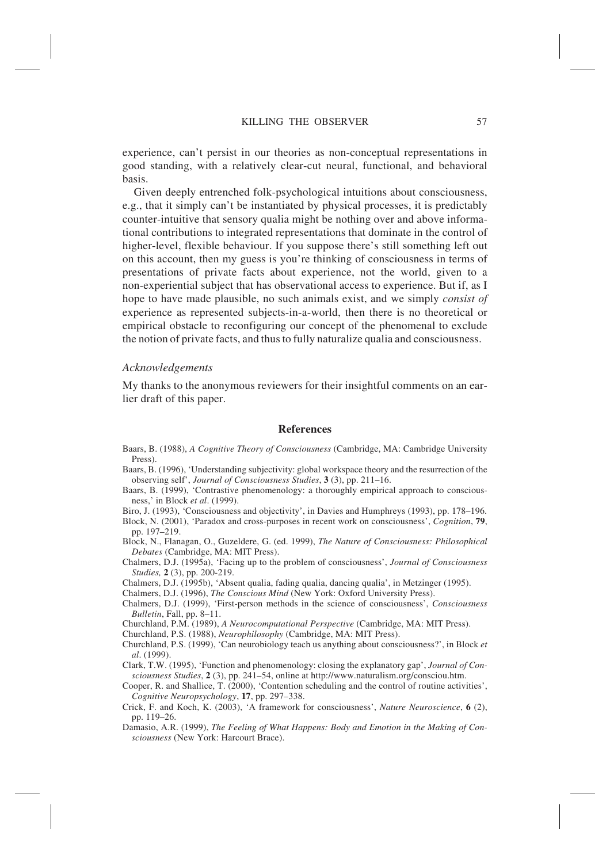experience, can't persist in our theories as non-conceptual representations in good standing, with a relatively clear-cut neural, functional, and behavioral basis.

Given deeply entrenched folk-psychological intuitions about consciousness, e.g., that it simply can't be instantiated by physical processes, it is predictably counter-intuitive that sensory qualia might be nothing over and above informational contributions to integrated representations that dominate in the control of higher-level, flexible behaviour. If you suppose there's still something left out on this account, then my guess is you're thinking of consciousness in terms of presentations of private facts about experience, not the world, given to a non-experiential subject that has observational access to experience. But if, as I hope to have made plausible, no such animals exist, and we simply *consist of* experience as represented subjects-in-a-world, then there is no theoretical or empirical obstacle to reconfiguring our concept of the phenomenal to exclude the notion of private facts, and thus to fully naturalize qualia and consciousness.

#### *Acknowledgements*

My thanks to the anonymous reviewers for their insightful comments on an earlier draft of this paper.

#### **References**

Baars, B. (1988), *A Cognitive Theory of Consciousness* (Cambridge, MA: Cambridge University Press).

- Baars, B. (1996), 'Understanding subjectivity: global workspace theory and the resurrection of the observing self', *Journal of Consciousness Studies*, **3** (3), pp. 211–16.
- Baars, B. (1999), 'Contrastive phenomenology: a thoroughly empirical approach to consciousness,' in Block *et al*. (1999).
- Biro, J. (1993), 'Consciousness and objectivity', in Davies and Humphreys (1993), pp. 178–196. Block, N. (2001), 'Paradox and cross-purposes in recent work on consciousness', *Cognition*, **79**, pp. 197–219.
- Block, N., Flanagan, O., Guzeldere, G. (ed. 1999), *The Nature of Consciousness: Philosophical Debates* (Cambridge, MA: MIT Press).
- Chalmers, D.J. (1995a), 'Facing up to the problem of consciousness', *Journal of Consciousness Studies,* **2** (3), pp. 200-219.
- Chalmers, D.J. (1995b), 'Absent qualia, fading qualia, dancing qualia', in Metzinger (1995).
- Chalmers, D.J. (1996), *The Conscious Mind* (New York: Oxford University Press).
- Chalmers, D.J. (1999), 'First-person methods in the science of consciousness', *Consciousness Bulletin*, Fall, pp. 8–11.

Churchland, P.M. (1989), *A Neurocomputational Perspective* (Cambridge, MA: MIT Press).

Churchland, P.S. (1988), *Neurophilosophy* (Cambridge, MA: MIT Press).

- Churchland, P.S. (1999), 'Can neurobiology teach us anything about consciousness?', in Block *et al*. (1999).
- Clark, T.W. (1995), 'Function and phenomenology: closing the explanatory gap', *Journal of Consciousness Studies*, **2** (3), pp. 241–54, online at http://www.naturalism.org/consciou.htm.
- Cooper, R. and Shallice, T. (2000), 'Contention scheduling and the control of routine activities', *Cognitive Neuropsychology*, **17**, pp. 297–338.
- Crick, F. and Koch, K. (2003), 'A framework for consciousness', *Nature Neuroscience*, **6** (2), pp. 119–26.
- Damasio, A.R. (1999), *The Feeling of What Happens: Body and Emotion in the Making of Consciousness* (New York: Harcourt Brace).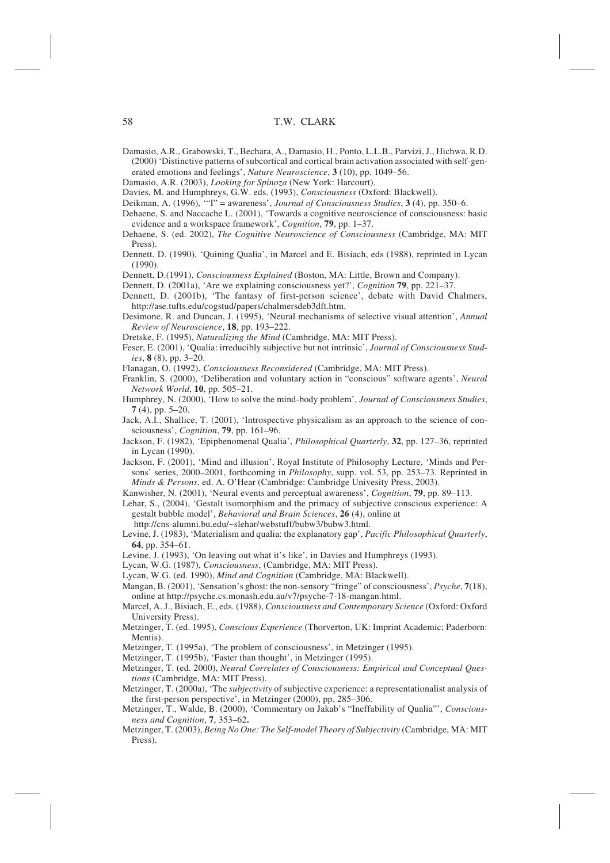- Damasio, A.R., Grabowski, T., Bechara, A., Damasio, H., Ponto, L.L.B., Parvizi, J., Hichwa, R.D. (2000) 'Distinctive patterns of subcortical and cortical brain activation associated with self-generated emotions and feelings', *Nature Neuroscience*, **3** (10), pp. 1049–56.
- Damasio, A.R. (2003), *Looking for Spinoza* (New York: Harcourt).
- Davies, M. and Humphreys, G.W. eds. (1993), *Consciousness* (Oxford: Blackwell).
- Deikman, A. (1996), '"I" = awareness', *Journal of Consciousness Studies*, **3** (4), pp. 350–6.
- Dehaene, S. and Naccache L. (2001), 'Towards a cognitive neuroscience of consciousness: basic evidence and a workspace framework', *Cognition*, **79**, pp. 1–37.
- Dehaene, S. (ed. 2002), *The Cognitive Neuroscience of Consciousness* (Cambridge, MA: MIT Press).
- Dennett, D. (1990), 'Quining Qualia', in Marcel and E. Bisiach, eds (1988), reprinted in Lycan (1990).
- Dennett, D.(1991), *Consciousness Explained* (Boston, MA: Little, Brown and Company).
- Dennett, D. (2001a), 'Are we explaining consciousness yet?', *Cognition* **79**, pp. 221–37.
- Dennett, D. (2001b), 'The fantasy of first-person science', debate with David Chalmers,

http://ase.tufts.edu/cogstud/papers/chalmersdeb3dft.htm.

- Desimone, R. and Duncan, J. (1995), 'Neural mechanisms of selective visual attention', *Annual Review of Neuroscience*, **18**, pp. 193–222.
- Dretske, F. (1995), *Naturalizing the Mind* (Cambridge, MA: MIT Press).
- Feser, E. (2001), 'Qualia: irreducibly subjective but not intrinsic', *Journal of Consciousness Studies*, **8** (8), pp. 3–20.
- Flanagan, O. (1992), *Consciousness Reconsidered* (Cambridge, MA: MIT Press).
- Franklin, S. (2000), 'Deliberation and voluntary action in "conscious" software agents', *Neural Network World*, **10**, pp. 505–21.
- Humphrey, N. (2000), 'How to solve the mind-body problem', *Journal of Consciousness Studies*, **7** (4), pp. 5–20.
- Jack, A.I., Shallice, T. (2001), 'Introspective physicalism as an approach to the science of consciousness', *Cognition*, **79**, pp. 161–96.
- Jackson, F. (1982), 'Epiphenomenal Qualia', *Philosophical Quarterly*, **32**, pp. 127–36, reprinted in Lycan (1990).
- Jackson, F. (2001), 'Mind and illusion', Royal Institute of Philosophy Lecture, 'Minds and Persons' series, 2000–2001, forthcoming in *Philosophy*, supp. vol. 53, pp. 253–73. Reprinted in *Minds & Persons*, ed. A. O'Hear (Cambridge: Cambridge Univesity Press, 2003).
- Kanwisher, N. (2001), 'Neural events and perceptual awareness', *Cognition*, **79**, pp. 89–113.
- Lehar, S., (2004), 'Gestalt isomorphism and the primacy of subjective conscious experience: A gestalt bubble model', *Behavioral and Brain Sciences*, **26** (4), online at http://cns-alumni.bu.edu/~slehar/webstuff/bubw3/bubw3.html.
- Levine, J. (1983), 'Materialism and qualia: the explanatory gap', *Pacific Philosophical Quarterly*, **64**, pp. 354–61.
- Levine, J. (1993), 'On leaving out what it's like', in Davies and Humphreys (1993).
- Lycan, W.G. (1987), *Consciousness*, (Cambridge, MA: MIT Press).
- Lycan, W.G. (ed. 1990), *Mind and Cognition* (Cambridge, MA: Blackwell).
- Mangan, B. (2001), 'Sensation's ghost: the non-sensory "fringe" of consciousness', *Psyche*, **7**(18), online at http://psyche.cs.monash.edu.au/v7/psyche-7-18-mangan.html.
- Marcel, A. J., Bisiach, E., eds. (1988), *Consciousness and Contemporary Science* (Oxford: Oxford University Press).
- Metzinger, T. (ed. 1995), *Conscious Experience* (Thorverton, UK: Imprint Academic; Paderborn: Mentis).
- Metzinger, T. (1995a), 'The problem of consciousness', in Metzinger (1995).
- Metzinger, T. (1995b), 'Faster than thought', in Metzinger (1995).
- Metzinger, T. (ed. 2000), *Neural Correlates of Consciousness: Empirical and Conceptual Questions* (Cambridge, MA: MIT Press).
- Metzinger, T. (2000a), 'The *subjectivity* of subjective experience: a representationalist analysis of the first-person perspective', in Metzinger (2000), pp. 285–306.
- Metzinger, T., Walde, B. (2000), 'Commentary on Jakab's "Ineffability of Qualia"', *Consciousness and Cognition*, **7**, 353–62**.**
- Metzinger, T. (2003), *Being No One: The Self-model Theory of Subjectivity* (Cambridge, MA: MIT Press).